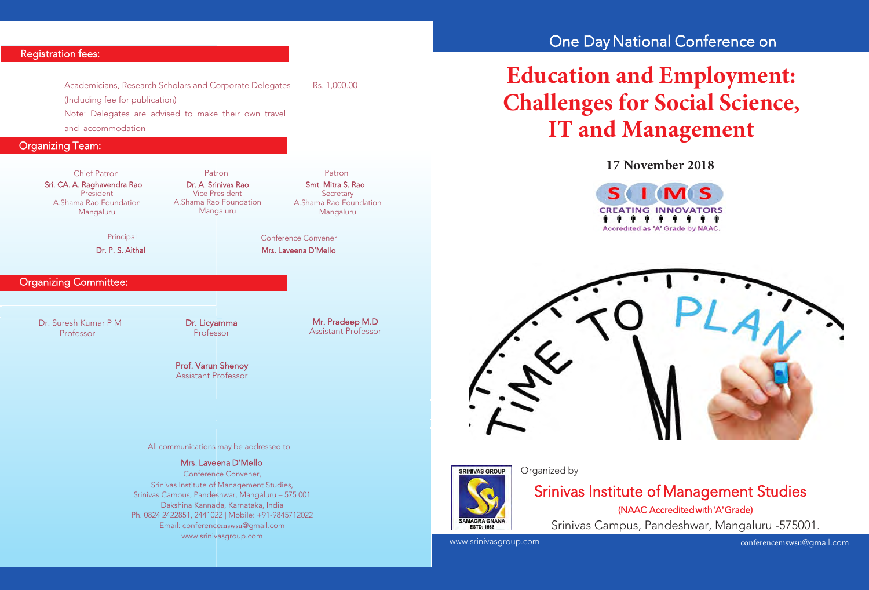# Registration fees:

Academicians, Research Scholars and Corporate Delegates Rs. 1,000.00 (Including fee for publication) Note: Delegates are advised to make their own travel and accommodation

Organizing Team:

#### Sri. CA. A. Raghavendra Rao President A.Shama Rao Foundation Mangaluru Chief Patron Patron Patron

Principal

Dr. P. S. Aithal

# Organizing Committee:

Dr. Suresh Kumar P M Professor

Dr. Licyamma Professor

Dr. A. Srinivas Rao Vice President A.Shama Rao Foundation Mangaluru

> Mr. Pradeep M.D Assistant Professor

Smt. Mitra S. Rao **Secretary** A.Shama Rao Foundation Mangaluru

 Mrs. Laveena D'Mello Conference Convener

### Prof. Varun Shenoy Assistant Professor

#### All communications may be addressed to

### Mrs. Laveena D'Mello

 Conference Convener, Srinivas Institute of Management Studies, Srinivas Campus, Pandeshwar, Mangaluru – 575 001 Dakshina Kannada, Karnataka, India Ph. 0824 2422851, 2441022 | Mobile: +91-9845712022 Email: conferencemswsu@gmail.com www.srinivasgroup.com

# One Day National Conference on

# **Education and Employment: Challenges for Social Science, IT and Management**

**17 November2018**







### Organized by

# Srinivas Institute of Management Studies (NAAC Accredited with 'A' Grade)

Srinivas Campus, Pandeshwar, Mangaluru -575001.

www.srinivasgroup.com

conferencemswsu@gmail.com